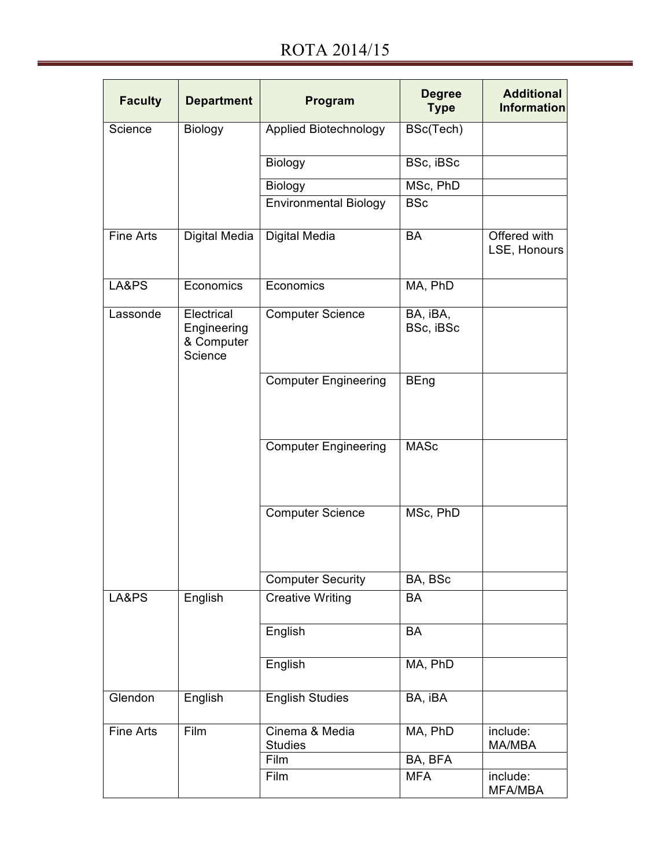| <b>Faculty</b> | <b>Department</b>                                  | Program                          | <b>Degree</b><br><b>Type</b> | <b>Additional</b><br><b>Information</b> |
|----------------|----------------------------------------------------|----------------------------------|------------------------------|-----------------------------------------|
| Science        | Biology                                            | Applied Biotechnology            | BSc(Tech)                    |                                         |
|                |                                                    | Biology                          | BSc, iBSc                    |                                         |
|                |                                                    | Biology                          | MSc, PhD                     |                                         |
|                |                                                    | <b>Environmental Biology</b>     | <b>BSc</b>                   |                                         |
| Fine Arts      | Digital Media                                      | Digital Media                    | <b>BA</b>                    | Offered with<br>LSE, Honours            |
| LA&PS          | Economics                                          | Economics                        | MA, PhD                      |                                         |
| Lassonde       | Electrical<br>Engineering<br>& Computer<br>Science | <b>Computer Science</b>          | BA, iBA,<br>BSc, iBSc        |                                         |
|                |                                                    | <b>Computer Engineering</b>      | <b>BEng</b>                  |                                         |
|                |                                                    | <b>Computer Engineering</b>      | <b>MASc</b>                  |                                         |
|                |                                                    | <b>Computer Science</b>          | MSc, PhD                     |                                         |
|                |                                                    | <b>Computer Security</b>         | BA, BSc                      |                                         |
| LA&PS          | English                                            | <b>Creative Writing</b>          | <b>BA</b>                    |                                         |
|                |                                                    | English                          | <b>BA</b>                    |                                         |
|                |                                                    | English                          | MA, PhD                      |                                         |
| Glendon        | English                                            | <b>English Studies</b>           | BA, iBA                      |                                         |
| Fine Arts      | Film                                               | Cinema & Media<br><b>Studies</b> | MA, PhD                      | include:<br>MA/MBA                      |
|                |                                                    | Film                             | BA, BFA                      |                                         |
|                |                                                    | Film                             | <b>MFA</b>                   | include:<br>MFA/MBA                     |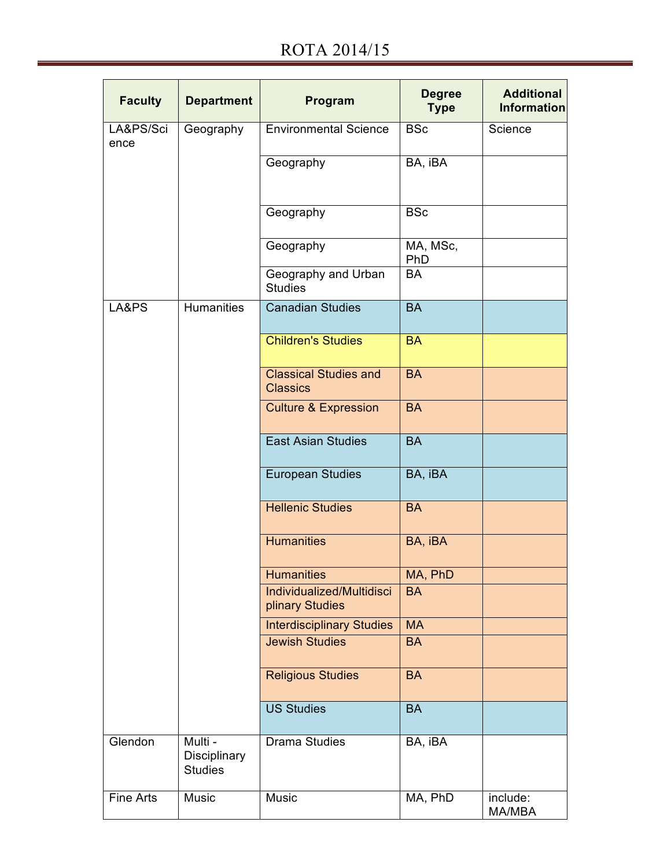| <b>Faculty</b>    | <b>Department</b>                         | Program                                         | <b>Degree</b><br><b>Type</b> | <b>Additional</b><br><b>Information</b> |
|-------------------|-------------------------------------------|-------------------------------------------------|------------------------------|-----------------------------------------|
| LA&PS/Sci<br>ence | Geography                                 | <b>Environmental Science</b>                    | <b>BSc</b>                   | Science                                 |
|                   |                                           | Geography                                       | BA, iBA                      |                                         |
|                   |                                           | Geography                                       | <b>BSc</b>                   |                                         |
|                   |                                           | Geography                                       | MA, MSc,<br>PhD              |                                         |
|                   |                                           | Geography and Urban<br><b>Studies</b>           | <b>BA</b>                    |                                         |
| LA&PS             | <b>Humanities</b>                         | <b>Canadian Studies</b>                         | <b>BA</b>                    |                                         |
|                   |                                           | <b>Children's Studies</b>                       | <b>BA</b>                    |                                         |
|                   |                                           | <b>Classical Studies and</b><br><b>Classics</b> | <b>BA</b>                    |                                         |
|                   |                                           | <b>Culture &amp; Expression</b>                 | <b>BA</b>                    |                                         |
|                   |                                           | <b>East Asian Studies</b>                       | <b>BA</b>                    |                                         |
|                   |                                           | <b>European Studies</b>                         | BA, iBA                      |                                         |
|                   |                                           | <b>Hellenic Studies</b>                         | <b>BA</b>                    |                                         |
|                   |                                           | <b>Humanities</b>                               | BA, iBA                      |                                         |
|                   |                                           | <b>Humanities</b>                               | MA, PhD                      |                                         |
|                   |                                           | Individualized/Multidisci<br>plinary Studies    | <b>BA</b>                    |                                         |
|                   |                                           | <b>Interdisciplinary Studies</b>                | <b>MA</b>                    |                                         |
|                   |                                           | <b>Jewish Studies</b>                           | <b>BA</b>                    |                                         |
|                   |                                           | <b>Religious Studies</b>                        | <b>BA</b>                    |                                         |
|                   |                                           | <b>US Studies</b>                               | <b>BA</b>                    |                                         |
| Glendon           | Multi -<br>Disciplinary<br><b>Studies</b> | <b>Drama Studies</b>                            | BA, iBA                      |                                         |
| Fine Arts         | Music                                     | Music                                           | MA, PhD                      | include:<br>MA/MBA                      |